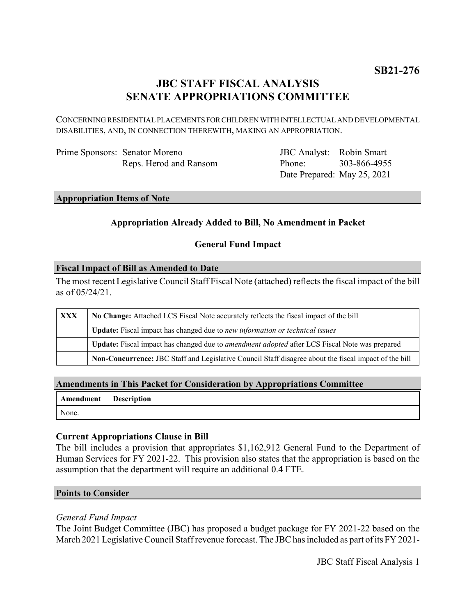## **JBC STAFF FISCAL ANALYSIS SENATE APPROPRIATIONS COMMITTEE**

CONCERNING RESIDENTIAL PLACEMENTS FOR CHILDREN WITH INTELLECTUAL AND DEVELOPMENTAL DISABILITIES, AND, IN CONNECTION THEREWITH, MAKING AN APPROPRIATION.

| Prime Sponsors: Senator Moreno |                        |
|--------------------------------|------------------------|
|                                | Reps. Herod and Ransom |

JBC Analyst: Robin Smart Phone: Date Prepared: May 25, 2021 303-866-4955

#### **Appropriation Items of Note**

### **Appropriation Already Added to Bill, No Amendment in Packet**

#### **General Fund Impact**

#### **Fiscal Impact of Bill as Amended to Date**

The most recent Legislative Council Staff Fiscal Note (attached) reflects the fiscal impact of the bill as of 05/24/21.

| XXX | No Change: Attached LCS Fiscal Note accurately reflects the fiscal impact of the bill                 |  |
|-----|-------------------------------------------------------------------------------------------------------|--|
|     | <b>Update:</b> Fiscal impact has changed due to new information or technical issues                   |  |
|     | Update: Fiscal impact has changed due to <i>amendment adopted</i> after LCS Fiscal Note was prepared  |  |
|     | Non-Concurrence: JBC Staff and Legislative Council Staff disagree about the fiscal impact of the bill |  |

#### **Amendments in This Packet for Consideration by Appropriations Committee**

| Amendment Description |  |
|-----------------------|--|
| None.                 |  |

#### **Current Appropriations Clause in Bill**

The bill includes a provision that appropriates \$1,162,912 General Fund to the Department of Human Services for FY 2021-22. This provision also states that the appropriation is based on the assumption that the department will require an additional 0.4 FTE.

#### **Points to Consider**

#### *General Fund Impact*

The Joint Budget Committee (JBC) has proposed a budget package for FY 2021-22 based on the March 2021 Legislative Council Staff revenue forecast. The JBC has included as part of its FY 2021-